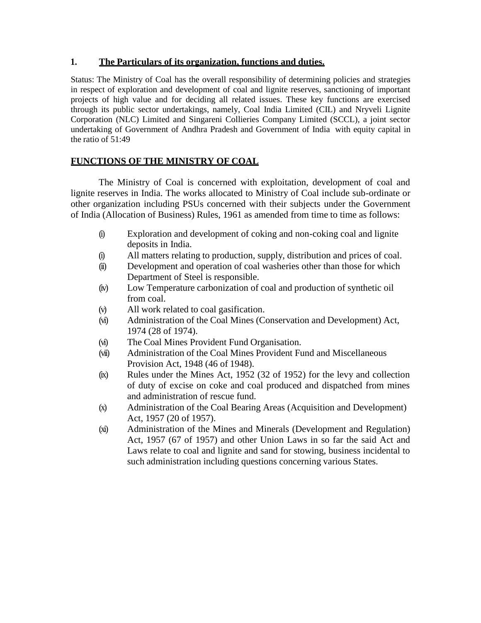# **1. The Particulars of its organization, functions and duties.**

Status: The Ministry of Coal has the overall responsibility of determining policies and strategies in respect of exploration and development of coal and lignite reserves, sanctioning of important projects of high value and for deciding all related issues. These key functions are exercised through its public sector undertakings, namely, Coal India Limited (CIL) and Nryveli Lignite Corporation (NLC) Limited and Singareni Collieries Company Limited (SCCL), a joint sector undertaking of Government of Andhra Pradesh and Government of India with equity capital in the ratio of 51:49

# **FUNCTIONS OF THE MINISTRY OF COAL**

The Ministry of Coal is concerned with exploitation, development of coal and lignite reserves in India. The works allocated to Ministry of Coal include sub-ordinate or other organization including PSUs concerned with their subjects under the Government of India (Allocation of Business) Rules, 1961 as amended from time to time as follows:

- (i) Exploration and development of coking and non-coking coal and lignite deposits in India.
- (i) All matters relating to production, supply, distribution and prices of coal.
- (ii) Development and operation of coal washeries other than those for which Department of Steel is responsible.
- (iv) Low Temperature carbonization of coal and production of synthetic oil from coal.
- (v) All work related to coal gasification.
- (vi) Administration of the Coal Mines (Conservation and Development) Act, 1974 (28 of 1974).
- (vi) The Coal Mines Provident Fund Organisation.
- (vii) Administration of the Coal Mines Provident Fund and Miscellaneous Provision Act, 1948 (46 of 1948).
- (ix) Rules under the Mines Act, 1952 (32 of 1952) for the levy and collection of duty of excise on coke and coal produced and dispatched from mines and administration of rescue fund.
- (x) Administration of the Coal Bearing Areas (Acquisition and Development) Act, 1957 (20 of 1957).
- (xi) Administration of the Mines and Minerals (Development and Regulation) Act, 1957 (67 of 1957) and other Union Laws in so far the said Act and Laws relate to coal and lignite and sand for stowing, business incidental to such administration including questions concerning various States.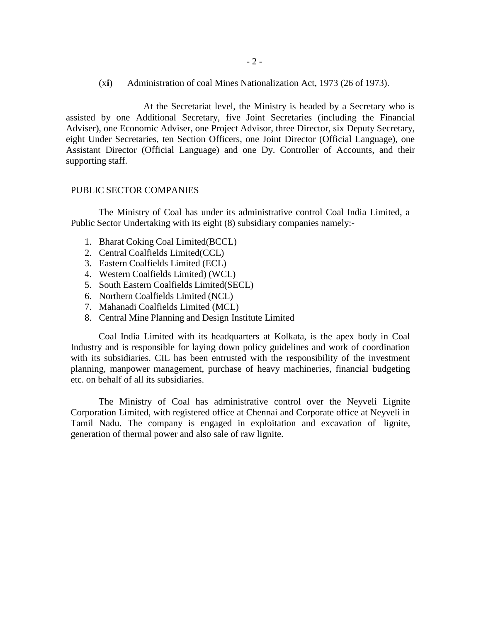(x**i**) Administration of coal Mines Nationalization Act, 1973 (26 of 1973).

At the Secretariat level, the Ministry is headed by a Secretary who is assisted by one Additional Secretary, five Joint Secretaries (including the Financial Adviser), one Economic Adviser, one Project Advisor, three Director, six Deputy Secretary, eight Under Secretaries, ten Section Officers, one Joint Director (Official Language), one Assistant Director (Official Language) and one Dy. Controller of Accounts, and their supporting staff.

#### PUBLIC SECTOR COMPANIES

The Ministry of Coal has under its administrative control Coal India Limited, a Public Sector Undertaking with its eight (8) subsidiary companies namely:-

- 1. Bharat Coking Coal Limited(BCCL)
- 2. Central Coalfields Limited(CCL)
- 3. Eastern Coalfields Limited (ECL)
- 4. Western Coalfields Limited) (WCL)
- 5. South Eastern Coalfields Limited(SECL)
- 6. Northern Coalfields Limited (NCL)
- 7. Mahanadi Coalfields Limited (MCL)
- 8. Central Mine Planning and Design Institute Limited

Coal India Limited with its headquarters at Kolkata, is the apex body in Coal Industry and is responsible for laying down policy guidelines and work of coordination with its subsidiaries. CIL has been entrusted with the responsibility of the investment planning, manpower management, purchase of heavy machineries, financial budgeting etc. on behalf of all its subsidiaries.

The Ministry of Coal has administrative control over the Neyveli Lignite Corporation Limited, with registered office at Chennai and Corporate office at Neyveli in Tamil Nadu. The company is engaged in exploitation and excavation of lignite, generation of thermal power and also sale of raw lignite.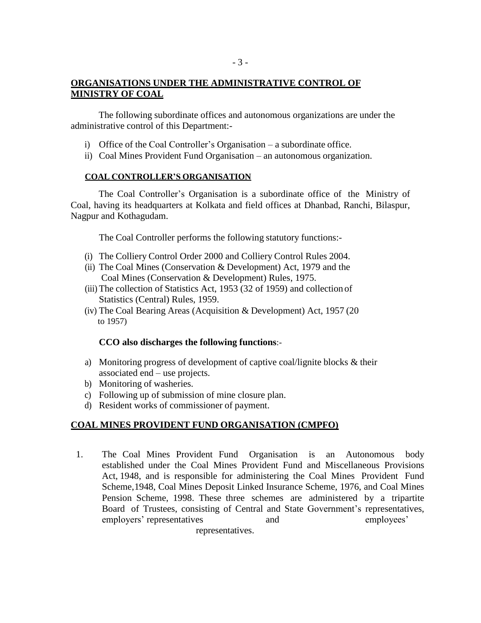The following subordinate offices and autonomous organizations are under the administrative control of this Department:-

- 3 -

- i) Office of the Coal Controller's Organisation a subordinate office.
- ii) Coal Mines Provident Fund Organisation an autonomous organization.

#### **COAL CONTROLLER'S ORGANISATION**

The Coal Controller's Organisation is a subordinate office of the Ministry of Coal, having its headquarters at Kolkata and field offices at Dhanbad, Ranchi, Bilaspur, Nagpur and Kothagudam.

The Coal Controller performs the following statutory functions:-

- (i) The Colliery Control Order 2000 and Colliery Control Rules 2004.
- (ii) The Coal Mines (Conservation & Development) Act, 1979 and the Coal Mines (Conservation & Development) Rules, 1975.
- (iii) The collection of Statistics Act, 1953 (32 of 1959) and collection of Statistics (Central) Rules, 1959.
- (iv) The Coal Bearing Areas (Acquisition & Development) Act, 1957 (20 to 1957)

# **CCO also discharges the following functions**:-

- a) Monitoring progress of development of captive coal/lignite blocks & their associated end – use projects.
- b) Monitoring of washeries.
- c) Following up of submission of mine closure plan.
- d) Resident works of commissioner of payment.

# **COAL MINES PROVIDENT FUND ORGANISATION (CMPFO)**

1. The Coal Mines Provident Fund Organisation is an Autonomous body established under the Coal Mines Provident Fund and Miscellaneous Provisions Act, 1948, and is responsible for administering the Coal Mines Provident Fund Scheme,1948, Coal Mines Deposit Linked Insurance Scheme, 1976, and Coal Mines Pension Scheme, 1998. These three schemes are administered by a tripartite Board of Trustees, consisting of Central and State Government's representatives, employers' representatives and employees' representatives.